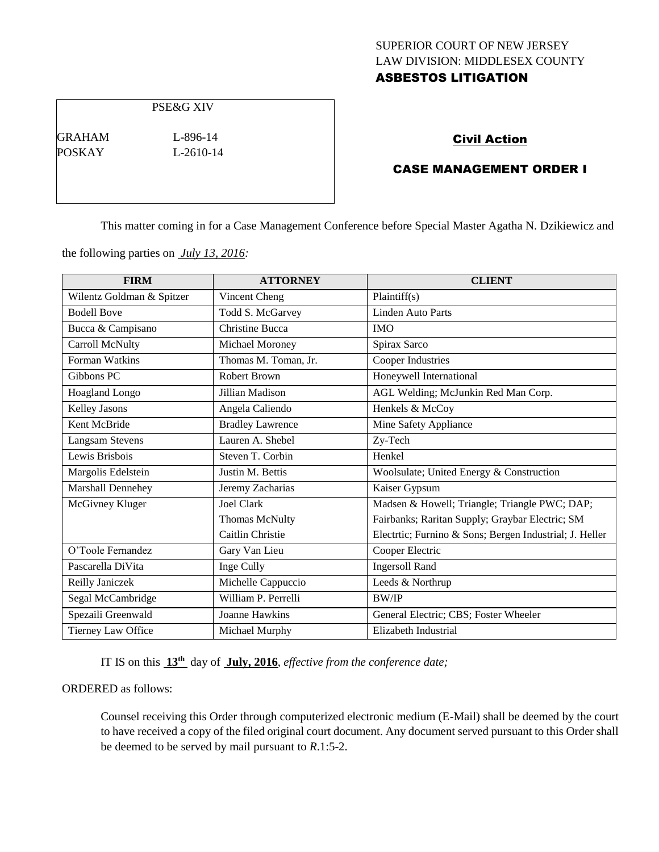# SUPERIOR COURT OF NEW JERSEY LAW DIVISION: MIDDLESEX COUNTY

# ASBESTOS LITIGATION

PSE&G XIV

GRAHAM L-896-14 POSKAY L-2610-14

### Civil Action

## CASE MANAGEMENT ORDER I

This matter coming in for a Case Management Conference before Special Master Agatha N. Dzikiewicz and

the following parties on *July 13, 2016:*

| <b>FIRM</b>               | <b>ATTORNEY</b>         | <b>CLIENT</b>                                           |
|---------------------------|-------------------------|---------------------------------------------------------|
| Wilentz Goldman & Spitzer | Vincent Cheng           | Plaintiff(s)                                            |
| <b>Bodell Bove</b>        | Todd S. McGarvey        | <b>Linden Auto Parts</b>                                |
| Bucca & Campisano         | <b>Christine Bucca</b>  | <b>IMO</b>                                              |
| Carroll McNulty           | Michael Moroney         | Spirax Sarco                                            |
| Forman Watkins            | Thomas M. Toman, Jr.    | Cooper Industries                                       |
| Gibbons PC                | Robert Brown            | Honeywell International                                 |
| Hoagland Longo            | Jillian Madison         | AGL Welding; McJunkin Red Man Corp.                     |
| Kelley Jasons             | Angela Caliendo         | Henkels & McCoy                                         |
| Kent McBride              | <b>Bradley Lawrence</b> | Mine Safety Appliance                                   |
| <b>Langsam Stevens</b>    | Lauren A. Shebel        | Zy-Tech                                                 |
| Lewis Brisbois            | Steven T. Corbin        | Henkel                                                  |
| Margolis Edelstein        | Justin M. Bettis        | Woolsulate; United Energy & Construction                |
| Marshall Dennehey         | Jeremy Zacharias        | Kaiser Gypsum                                           |
| McGivney Kluger           | <b>Joel Clark</b>       | Madsen & Howell; Triangle; Triangle PWC; DAP;           |
|                           | Thomas McNulty          | Fairbanks; Raritan Supply; Graybar Electric; SM         |
|                           | Caitlin Christie        | Electrtic; Furnino & Sons; Bergen Industrial; J. Heller |
| O'Toole Fernandez         | Gary Van Lieu           | Cooper Electric                                         |
| Pascarella DiVita         | Inge Cully              | <b>Ingersoll Rand</b>                                   |
| Reilly Janiczek           | Michelle Cappuccio      | Leeds & Northrup                                        |
| Segal McCambridge         | William P. Perrelli     | <b>BW/IP</b>                                            |
| Spezaili Greenwald        | Joanne Hawkins          | General Electric; CBS; Foster Wheeler                   |
| Tierney Law Office        | Michael Murphy          | Elizabeth Industrial                                    |

IT IS on this **13th** day of **July, 2016**, *effective from the conference date;*

ORDERED as follows:

Counsel receiving this Order through computerized electronic medium (E-Mail) shall be deemed by the court to have received a copy of the filed original court document. Any document served pursuant to this Order shall be deemed to be served by mail pursuant to *R*.1:5-2.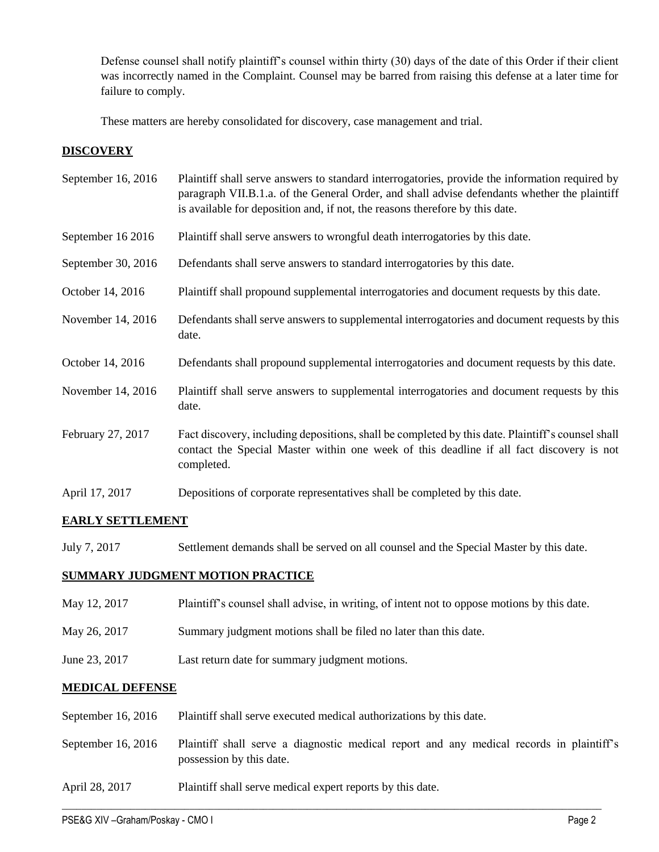Defense counsel shall notify plaintiff's counsel within thirty (30) days of the date of this Order if their client was incorrectly named in the Complaint. Counsel may be barred from raising this defense at a later time for failure to comply.

These matters are hereby consolidated for discovery, case management and trial.

### **DISCOVERY**

| September 16, 2016 | Plaintiff shall serve answers to standard interrogatories, provide the information required by<br>paragraph VII.B.1.a. of the General Order, and shall advise defendants whether the plaintiff<br>is available for deposition and, if not, the reasons therefore by this date. |
|--------------------|--------------------------------------------------------------------------------------------------------------------------------------------------------------------------------------------------------------------------------------------------------------------------------|
| September 16 2016  | Plaintiff shall serve answers to wrongful death interrogatories by this date.                                                                                                                                                                                                  |
| September 30, 2016 | Defendants shall serve answers to standard interrogatories by this date.                                                                                                                                                                                                       |
| October 14, 2016   | Plaintiff shall propound supplemental interrogatories and document requests by this date.                                                                                                                                                                                      |
| November 14, 2016  | Defendants shall serve answers to supplemental interrogatories and document requests by this<br>date.                                                                                                                                                                          |
| October 14, 2016   | Defendants shall propound supplemental interrogatories and document requests by this date.                                                                                                                                                                                     |
| November 14, 2016  | Plaintiff shall serve answers to supplemental interrogatories and document requests by this<br>date.                                                                                                                                                                           |
| February 27, 2017  | Fact discovery, including depositions, shall be completed by this date. Plaintiff's counsel shall<br>contact the Special Master within one week of this deadline if all fact discovery is not<br>completed.                                                                    |
| April 17, 2017     | Depositions of corporate representatives shall be completed by this date.                                                                                                                                                                                                      |

# **EARLY SETTLEMENT**

July 7, 2017 Settlement demands shall be served on all counsel and the Special Master by this date.

# **SUMMARY JUDGMENT MOTION PRACTICE**

- May 12, 2017 Plaintiff's counsel shall advise, in writing, of intent not to oppose motions by this date.
- May 26, 2017 Summary judgment motions shall be filed no later than this date.
- June 23, 2017 Last return date for summary judgment motions.

### **MEDICAL DEFENSE**

| September 16, 2016 | Plaintiff shall serve executed medical authorizations by this date.                                                  |
|--------------------|----------------------------------------------------------------------------------------------------------------------|
| September 16, 2016 | Plaintiff shall serve a diagnostic medical report and any medical records in plaintiff's<br>possession by this date. |
| April 28, 2017     | Plaintiff shall serve medical expert reports by this date.                                                           |

 $\_$  , and the set of the set of the set of the set of the set of the set of the set of the set of the set of the set of the set of the set of the set of the set of the set of the set of the set of the set of the set of th